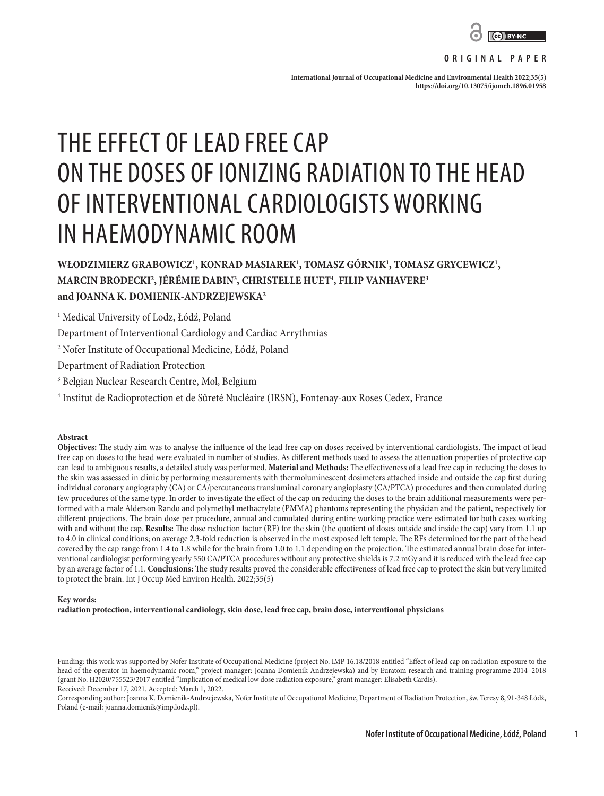

#### **ORIGINAL PAPER**

International Journal of Occupational Medicine and Environmental Health 2022;35(5) **<https://doi.org/10.13075/ijomeh.1896.01958>**

# THE EFFECT OF LEAD FREE CAP ON THE DOSES OF IONIZING RADIATION TO THE HEAD OF INTERVENTIONAL CARDIOLOGISTS WORKING IN HAEMODYNAMIC ROOM

WŁODZIMIERZ GRABOWICZ<sup>I</sup>, KONRAD MASIAREK<sup>1</sup>, TOMASZ GÓRNIK<sup>1</sup>, TOMASZ GRYCEWICZ<sup>I</sup>, **MARCIN BRODECKI2 , JÉRÉMIE DABIN3 , CHRISTELLE HUET4 , FILIP VANHAVERE3 and JOANNA K. DOMIENIK-ANDRZEJEWSKA2**

1 Medical University of Lodz, Łódź, Poland

Department of Interventional Cardiology and Cardiac Arrythmias

2 Nofer Institute of Occupational Medicine, Łódź, Poland

Department of Radiation Protection

3 Belgian Nuclear Research Centre, Mol, Belgium

4 Institut de Radioprotection et de Sûreté Nucléaire (IRSN), Fontenay-aux Roses Cedex, France

#### **Abstract**

**Objectives:** The study aim was to analyse the influence of the lead free cap on doses received by interventional cardiologists. The impact of lead free cap on doses to the head were evaluated in number of studies. As different methods used to assess the attenuation properties of protective cap can lead to ambiguous results, a detailed study was performed. **Material and Methods:** The effectiveness of a lead free cap in reducing the doses to the skin was assessed in clinic by performing measurements with thermoluminescent dosimeters attached inside and outside the cap first during individual coronary angiography (CA) or CA/percutaneous transluminal coronary angioplasty (CA/PTCA) procedures and then cumulated during few procedures of the same type. In order to investigate the effect of the cap on reducing the doses to the brain additional measurements were performed with a male Alderson Rando and polymethyl methacrylate (PMMA) phantoms representing the physician and the patient, respectively for different projections. The brain dose per procedure, annual and cumulated during entire working practice were estimated for both cases working with and without the cap. **Results:** The dose reduction factor (RF) for the skin (the quotient of doses outside and inside the cap) vary from 1.1 up to 4.0 in clinical conditions; on average 2.3-fold reduction is observed in the most exposed left temple. The RFs determined for the part of the head covered by the cap range from 1.4 to 1.8 while for the brain from 1.0 to 1.1 depending on the projection. The estimated annual brain dose for interventional cardiologist performing yearly 550 CA/PTCA procedures without any protective shields is 7.2 mGy and it is reduced with the lead free cap by an average factor of 1.1. **Conclusions:** The study results proved the considerable effectiveness of lead free cap to protect the skin but very limited to protect the brain. Int J Occup Med Environ Health. 2022;35(5)

#### **Key words:**

**radiation protection, interventional cardiology, skin dose, lead free cap, brain dose, interventional physicians**

**1**

Funding: this work was supported by Nofer Institute of Occupational Medicine (project No. IMP 16.18/2018 entitled "Effect of lead cap on radiation exposure to the head of the operator in haemodynamic room," project manager: Joanna Domienik-Andrzejewska) and by Euratom research and training programme 2014–2018 (grant No. H2020/755523/2017 entitled "Implication of medical low dose radiation exposure," grant manager: Elisabeth Cardis). Received: December 17, 2021. Accepted: March 1, 2022.

Corresponding author: Joanna K. Domienik-Andrzejewska, Nofer Institute of Occupational Medicine, Department of Radiation Protection, św. Teresy 8, 91-348 Łódź, Poland (e-mail: joanna.domienik@imp.lodz.pl).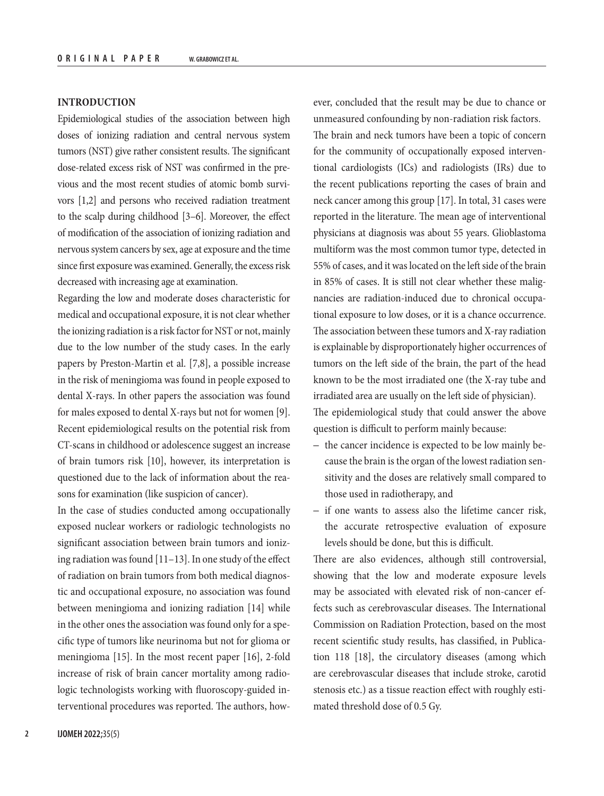## **INTRODUCTION**

Epidemiological studies of the association between high doses of ionizing radiation and central nervous system tumors (NST) give rather consistent results. The significant dose-related excess risk of NST was confirmed in the previous and the most recent studies of atomic bomb survivors [1,2] and persons who received radiation treatment to the scalp during childhood [3–6]. Moreover, the effect of modification of the association of ionizing radiation and nervous system cancers by sex, age at exposure and the time since first exposure was examined. Generally, the excess risk decreased with increasing age at examination.

Regarding the low and moderate doses characteristic for medical and occupational exposure, it is not clear whether the ionizing radiation is a risk factor for NST or not, mainly due to the low number of the study cases. In the early papers by Preston-Martin et al. [7,8], a possible increase in the risk of meningioma was found in people exposed to dental X-rays. In other papers the association was found for males exposed to dental X-rays but not for women [9]. Recent epidemiological results on the potential risk from CT-scans in childhood or adolescence suggest an increase of brain tumors risk [10], however, its interpretation is questioned due to the lack of information about the reasons for examination (like suspicion of cancer).

In the case of studies conducted among occupationally exposed nuclear workers or radiologic technologists no significant association between brain tumors and ionizing radiation was found [11–13]. In one study of the effect of radiation on brain tumors from both medical diagnostic and occupational exposure, no association was found between meningioma and ionizing radiation [14] while in the other ones the association was found only for a specific type of tumors like neurinoma but not for glioma or meningioma [15]. In the most recent paper [16], 2-fold increase of risk of brain cancer mortality among radiologic technologists working with fluoroscopy-guided interventional procedures was reported. The authors, how-

ever, concluded that the result may be due to chance or unmeasured confounding by non-radiation risk factors. The brain and neck tumors have been a topic of concern for the community of occupationally exposed interventional cardiologists (ICs) and radiologists (IRs) due to the recent publications reporting the cases of brain and neck cancer among this group [17]. In total, 31 cases were reported in the literature. The mean age of interventional physicians at diagnosis was about 55 years. Glioblastoma multiform was the most common tumor type, detected in 55% of cases, and it was located on the left side of the brain in 85% of cases. It is still not clear whether these malignancies are radiation-induced due to chronical occupational exposure to low doses, or it is a chance occurrence. The association between these tumors and X-ray radiation is explainable by disproportionately higher occurrences of tumors on the left side of the brain, the part of the head known to be the most irradiated one (the X-ray tube and irradiated area are usually on the left side of physician). The epidemiological study that could answer the above question is difficult to perform mainly because:

- the cancer incidence is expected to be low mainly because the brain is the organ of the lowest radiation sensitivity and the doses are relatively small compared to those used in radiotherapy, and
- if one wants to assess also the lifetime cancer risk, the accurate retrospective evaluation of exposure levels should be done, but this is difficult.

There are also evidences, although still controversial, showing that the low and moderate exposure levels may be associated with elevated risk of non-cancer effects such as cerebrovascular diseases. The International Commission on Radiation Protection, based on the most recent scientific study results, has classified, in Publication 118 [18], the circulatory diseases (among which are cerebrovascular diseases that include stroke, carotid stenosis etc.) as a tissue reaction effect with roughly estimated threshold dose of 0.5 Gy.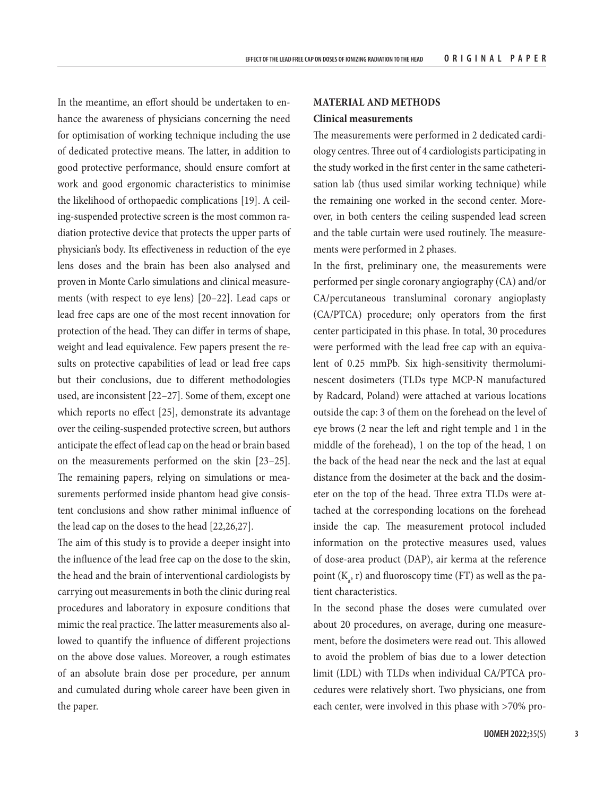In the meantime, an effort should be undertaken to enhance the awareness of physicians concerning the need for optimisation of working technique including the use of dedicated protective means. The latter, in addition to good protective performance, should ensure comfort at work and good ergonomic characteristics to minimise the likelihood of orthopaedic complications [19]. A ceiling-suspended protective screen is the most common radiation protective device that protects the upper parts of physician's body. Its effectiveness in reduction of the eye lens doses and the brain has been also analysed and proven in Monte Carlo simulations and clinical measurements (with respect to eye lens) [20–22]. Lead caps or lead free caps are one of the most recent innovation for protection of the head. They can differ in terms of shape, weight and lead equivalence. Few papers present the results on protective capabilities of lead or lead free caps but their conclusions, due to different methodologies used, are inconsistent [22–27]. Some of them, except one which reports no effect [25], demonstrate its advantage over the ceiling-suspended protective screen, but authors anticipate the effect of lead cap on the head or brain based on the measurements performed on the skin [23–25]. The remaining papers, relying on simulations or measurements performed inside phantom head give consistent conclusions and show rather minimal influence of the lead cap on the doses to the head [22,26,27].

The aim of this study is to provide a deeper insight into the influence of the lead free cap on the dose to the skin, the head and the brain of interventional cardiologists by carrying out measurements in both the clinic during real procedures and laboratory in exposure conditions that mimic the real practice. The latter measurements also allowed to quantify the influence of different projections on the above dose values. Moreover, a rough estimates of an absolute brain dose per procedure, per annum and cumulated during whole career have been given in the paper.

## **MATERIAL AND METHODS**

#### **Clinical measurements**

The measurements were performed in 2 dedicated cardiology centres. Three out of 4 cardiologists participating in the study worked in the first center in the same catheterisation lab (thus used similar working technique) while the remaining one worked in the second center. Moreover, in both centers the ceiling suspended lead screen and the table curtain were used routinely. The measurements were performed in 2 phases.

In the first, preliminary one, the measurements were performed per single coronary angiography (CA) and/or CA/percutaneous transluminal coronary angioplasty (CA/PTCA) procedure; only operators from the first center participated in this phase. In total, 30 procedures were performed with the lead free cap with an equivalent of 0.25 mmPb. Six high-sensitivity thermoluminescent dosimeters (TLDs type MCP-N manufactured by Radcard, Poland) were attached at various locations outside the cap: 3 of them on the forehead on the level of eye brows (2 near the left and right temple and 1 in the middle of the forehead), 1 on the top of the head, 1 on the back of the head near the neck and the last at equal distance from the dosimeter at the back and the dosimeter on the top of the head. Three extra TLDs were attached at the corresponding locations on the forehead inside the cap. The measurement protocol included information on the protective measures used, values of dose-area product (DAP), air kerma at the reference point  $(K_a, r)$  and fluoroscopy time (FT) as well as the patient characteristics.

In the second phase the doses were cumulated over about 20 procedures, on average, during one measurement, before the dosimeters were read out. This allowed to avoid the problem of bias due to a lower detection limit (LDL) with TLDs when individual CA/PTCA procedures were relatively short. Two physicians, one from each center, were involved in this phase with >70% pro-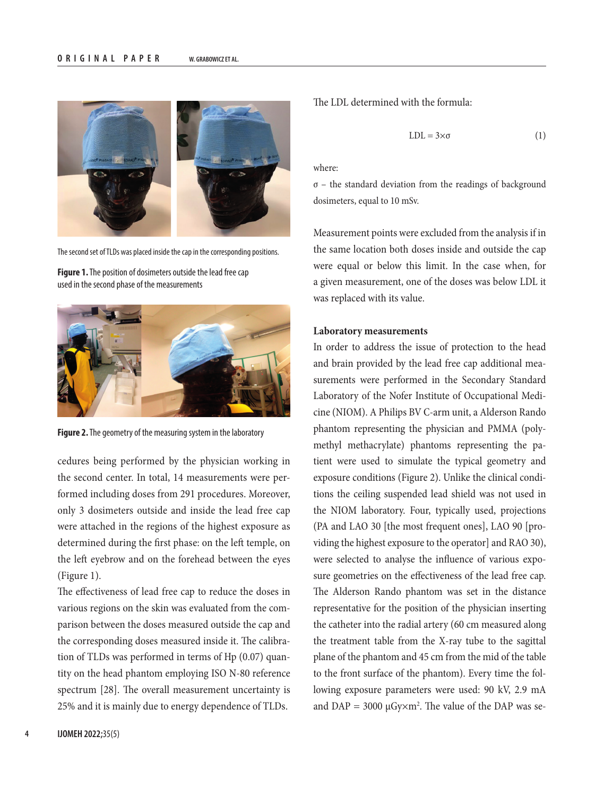

The second set of TLDs was placed inside the cap in the corresponding positions.

**Figure 1.** The position of dosimeters outside the lead free cap used in the second phase of the measurements



**Figure 2.** The geometry of the measuring system in the laboratory

cedures being performed by the physician working in the second center. In total, 14 measurements were performed including doses from 291 procedures. Moreover, only 3 dosimeters outside and inside the lead free cap were attached in the regions of the highest exposure as determined during the first phase: on the left temple, on the left eyebrow and on the forehead between the eyes (Figure 1).

The effectiveness of lead free cap to reduce the doses in various regions on the skin was evaluated from the comparison between the doses measured outside the cap and the corresponding doses measured inside it. The calibration of TLDs was performed in terms of Hp (0.07) quantity on the head phantom employing ISO N-80 reference spectrum [28]. The overall measurement uncertainty is 25% and it is mainly due to energy dependence of TLDs.

The LDL determined with the formula:

$$
LDL = 3 \times \sigma \tag{1}
$$

where:

 $\sigma$  – the standard deviation from the readings of background dosimeters, equal to 10 mSv.

Measurement points were excluded from the analysis if in the same location both doses inside and outside the cap were equal or below this limit. In the case when, for a given measurement, one of the doses was below LDL it was replaced with its value.

#### **Laboratory measurements**

In order to address the issue of protection to the head and brain provided by the lead free cap additional measurements were performed in the Secondary Standard Laboratory of the Nofer Institute of Occupational Medicine (NIOM). A Philips BV C-arm unit, a Alderson Rando phantom representing the physician and PMMA (polymethyl methacrylate) phantoms representing the patient were used to simulate the typical geometry and exposure conditions (Figure 2). Unlike the clinical conditions the ceiling suspended lead shield was not used in the NIOM laboratory. Four, typically used, projections (PA and LAO 30 [the most frequent ones], LAO 90 [providing the highest exposure to the operator] and RAO 30), were selected to analyse the influence of various exposure geometries on the effectiveness of the lead free cap. The Alderson Rando phantom was set in the distance representative for the position of the physician inserting the catheter into the radial artery (60 cm measured along the treatment table from the X-ray tube to the sagittal plane of the phantom and 45 cm from the mid of the table to the front surface of the phantom). Every time the following exposure parameters were used: 90 kV, 2.9 mA and  $DAP = 3000 \mu Gy \times m^2$ . The value of the DAP was se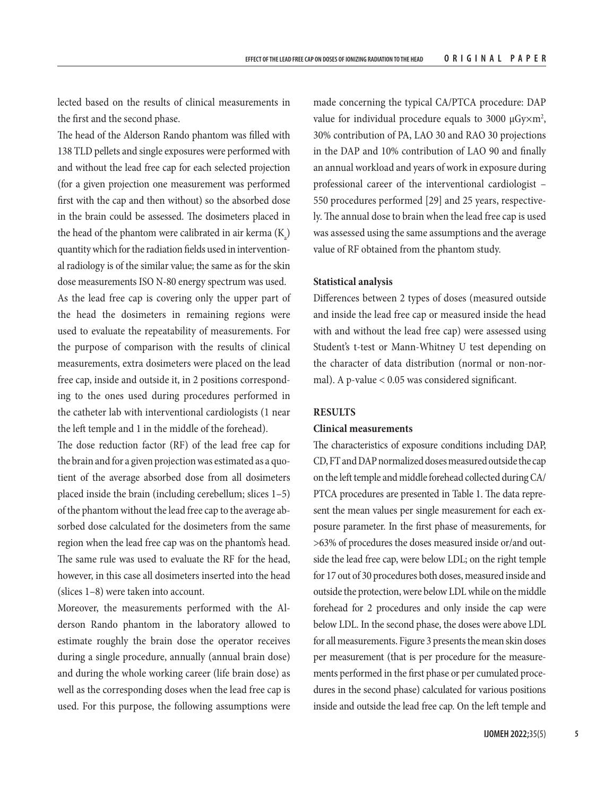lected based on the results of clinical measurements in the first and the second phase.

The head of the Alderson Rando phantom was filled with 138 TLD pellets and single exposures were performed with and without the lead free cap for each selected projection (for a given projection one measurement was performed first with the cap and then without) so the absorbed dose in the brain could be assessed. The dosimeters placed in the head of the phantom were calibrated in air kerma  $(K_a)$ quantity which for the radiation fields used in interventional radiology is of the similar value; the same as for the skin dose measurements ISO N-80 energy spectrum was used.

As the lead free cap is covering only the upper part of the head the dosimeters in remaining regions were used to evaluate the repeatability of measurements. For the purpose of comparison with the results of clinical measurements, extra dosimeters were placed on the lead free cap, inside and outside it, in 2 positions corresponding to the ones used during procedures performed in the catheter lab with interventional cardiologists (1 near the left temple and 1 in the middle of the forehead).

The dose reduction factor (RF) of the lead free cap for the brain and for a given projection was estimated as a quotient of the average absorbed dose from all dosimeters placed inside the brain (including cerebellum; slices 1–5) of the phantom without the lead free cap to the average absorbed dose calculated for the dosimeters from the same region when the lead free cap was on the phantom's head. The same rule was used to evaluate the RF for the head, however, in this case all dosimeters inserted into the head (slices 1–8) were taken into account.

Moreover, the measurements performed with the Alderson Rando phantom in the laboratory allowed to estimate roughly the brain dose the operator receives during a single procedure, annually (annual brain dose) and during the whole working career (life brain dose) as well as the corresponding doses when the lead free cap is used. For this purpose, the following assumptions were

made concerning the typical CA/PTCA procedure: DAP value for individual procedure equals to 3000  $\mu$ Gy $\times$ m<sup>2</sup>, 30% contribution of PA, LAO 30 and RAO 30 projections in the DAP and 10% contribution of LAO 90 and finally an annual workload and years of work in exposure during professional career of the interventional cardiologist – 550 procedures performed [29] and 25 years, respectively. The annual dose to brain when the lead free cap is used was assessed using the same assumptions and the average value of RF obtained from the phantom study.

### **Statistical analysis**

Differences between 2 types of doses (measured outside and inside the lead free cap or measured inside the head with and without the lead free cap) were assessed using Student's t-test or Mann-Whitney U test depending on the character of data distribution (normal or non-normal). A p-value < 0.05 was considered significant.

# **RESULTS**

## **Clinical measurements**

The characteristics of exposure conditions including DAP, CD, FT and DAP normalized doses measured outside the cap on the left temple and middle forehead collected during CA/ PTCA procedures are presented in Table 1. The data represent the mean values per single measurement for each exposure parameter. In the first phase of measurements, for >63% of procedures the doses measured inside or/and outside the lead free cap, were below LDL; on the right temple for 17 out of 30 procedures both doses, measured inside and outside the protection, were below LDL while on the middle forehead for 2 procedures and only inside the cap were below LDL. In the second phase, the doses were above LDL for all measurements. Figure 3 presents the mean skin doses per measurement (that is per procedure for the measurements performed in the first phase or per cumulated procedures in the second phase) calculated for various positions inside and outside the lead free cap. On the left temple and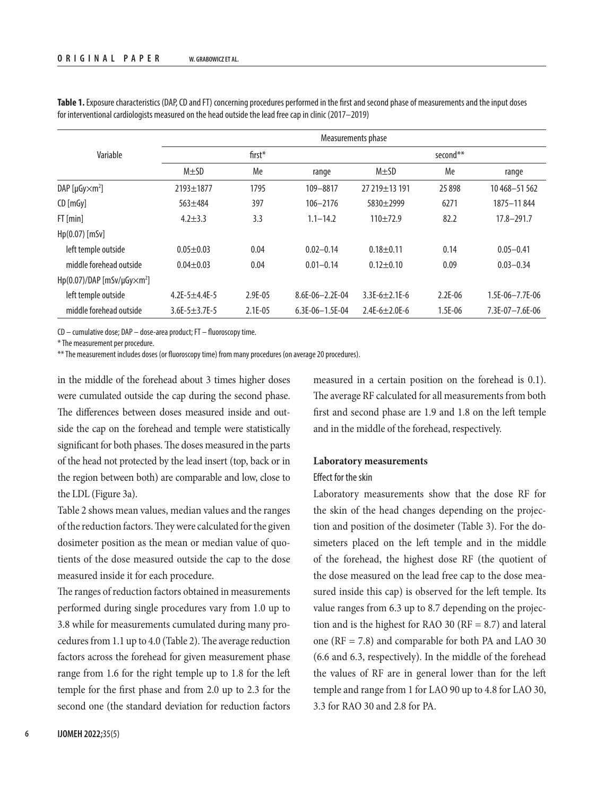|                                                 | Measurements phase      |           |                   |                     |             |                   |  |  |
|-------------------------------------------------|-------------------------|-----------|-------------------|---------------------|-------------|-------------------|--|--|
| Variable                                        | $first^*$               |           |                   | second**            |             |                   |  |  |
|                                                 | $M \pm SD$              | Me        | range             | $M \pm SD$          | Me          | range             |  |  |
| DAP [ $\mu$ Gy $\times$ m <sup>2</sup> ]        | $2193 \pm 1877$         | 1795      | 109-8817          | 27 219 + 13 191     | 25898       | 10468-51562       |  |  |
| CD [mGy]                                        | $563 + 484$             | 397       | $106 - 2176$      | $5830 + 2999$       | 6271        | 1875-11844        |  |  |
| FT[min]                                         | $4.2 + 3.3$             | 3.3       | $1.1 - 14.2$      | $110+72.9$          | 82.2        | $17.8 - 291.7$    |  |  |
| $Hp(0.07)$ [mSv]                                |                         |           |                   |                     |             |                   |  |  |
| left temple outside                             | $0.05 + 0.03$           | 0.04      | $0.02 - 0.14$     | $0.18 + 0.11$       | 0.14        | $0.05 - 0.41$     |  |  |
| middle forehead outside                         | $0.04 \pm 0.03$         | 0.04      | $0.01 - 0.14$     | $0.12 \pm 0.10$     | 0.09        | $0.03 - 0.34$     |  |  |
| Hp(0.07)/DAP [mSv/µGy $\times$ m <sup>2</sup> ] |                         |           |                   |                     |             |                   |  |  |
| left temple outside                             | 4.2E-5 $\pm$ 4.4E-5     | 2.9E-05   | $8.6E-06-2.2E-04$ | $3.3E-6+2.1E-6$     | $2.2E - 06$ | $1.5E-06-7.7E-06$ |  |  |
| middle forehead outside                         | $3.6E - 5 \pm 3.7E - 5$ | $2.1E-05$ | $6.3E-06-1.5E-04$ | $2.4E-6 \pm 2.0E-6$ | $1.5E-06$   | 7.3E-07-7.6E-06   |  |  |

**Table 1.** Exposure characteristics (DAP, CD and FT) concerning procedures performed in the first and second phase of measurements and the input doses for interventional cardiologists measured on the head outside the lead free cap in clinic (2017–2019)

CD – cumulative dose; DAP – dose-area product; FT – fluoroscopy time.

\* The measurement per procedure.

\*\* The measurement includes doses (or fluoroscopy time) from many procedures (on average 20 procedures).

in the middle of the forehead about 3 times higher doses were cumulated outside the cap during the second phase. The differences between doses measured inside and outside the cap on the forehead and temple were statistically significant for both phases. The doses measured in the parts of the head not protected by the lead insert (top, back or in the region between both) are comparable and low, close to the LDL (Figure 3a).

Table 2 shows mean values, median values and the ranges of the reduction factors. They were calculated for the given dosimeter position as the mean or median value of quotients of the dose measured outside the cap to the dose measured inside it for each procedure.

The ranges of reduction factors obtained in measurements performed during single procedures vary from 1.0 up to 3.8 while for measurements cumulated during many procedures from 1.1 up to 4.0 (Table 2). The average reduction factors across the forehead for given measurement phase range from 1.6 for the right temple up to 1.8 for the left temple for the first phase and from 2.0 up to 2.3 for the second one (the standard deviation for reduction factors

measured in a certain position on the forehead is 0.1). The average RF calculated for all measurements from both first and second phase are 1.9 and 1.8 on the left temple and in the middle of the forehead, respectively.

# **Laboratory measurements**

## Effect for the skin

Laboratory measurements show that the dose RF for the skin of the head changes depending on the projection and position of the dosimeter (Table 3). For the dosimeters placed on the left temple and in the middle of the forehead, the highest dose RF (the quotient of the dose measured on the lead free cap to the dose measured inside this cap) is observed for the left temple. Its value ranges from 6.3 up to 8.7 depending on the projection and is the highest for RAO 30 ( $RF = 8.7$ ) and lateral one (RF = 7.8) and comparable for both PA and LAO 30 (6.6 and 6.3, respectively). In the middle of the forehead the values of RF are in general lower than for the left temple and range from 1 for LAO 90 up to 4.8 for LAO 30, 3.3 for RAO 30 and 2.8 for PA.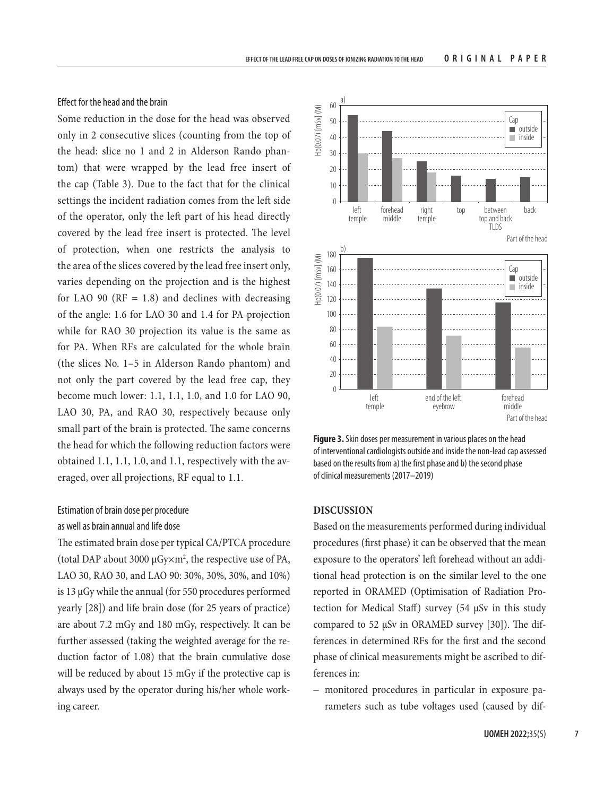## Effect for the head and the brain

Some reduction in the dose for the head was observed only in 2 consecutive slices (counting from the top of the head: slice no 1 and 2 in Alderson Rando phantom) that were wrapped by the lead free insert of the cap (Table 3). Due to the fact that for the clinical settings the incident radiation comes from the left side of the operator, only the left part of his head directly covered by the lead free insert is protected. The level of protection, when one restricts the analysis to the area of the slices covered by the lead free insert only, varies depending on the projection and is the highest for LAO 90 ( $RF = 1.8$ ) and declines with decreasing of the angle: 1.6 for LAO 30 and 1.4 for PA projection while for RAO 30 projection its value is the same as for PA. When RFs are calculated for the whole brain (the slices No. 1–5 in Alderson Rando phantom) and not only the part covered by the lead free cap, they become much lower: 1.1, 1.1, 1.0, and 1.0 for LAO 90, LAO 30, PA, and RAO 30, respectively because only small part of the brain is protected. The same concerns the head for which the following reduction factors were obtained 1.1, 1.1, 1.0, and 1.1, respectively with the averaged, over all projections, RF equal to 1.1.

# Estimation of brain dose per procedure as well as brain annual and life dose

The estimated brain dose per typical CA/PTCA procedure (total DAP about 3000  $\mu$ Gy $\times$ m<sup>2</sup>, the respective use of PA, LAO 30, RAO 30, and LAO 90: 30%, 30%, 30%, and 10%) is 13 µGy while the annual (for 550 procedures performed yearly [28]) and life brain dose (for 25 years of practice) are about 7.2 mGy and 180 mGy, respectively. It can be further assessed (taking the weighted average for the reduction factor of 1.08) that the brain cumulative dose will be reduced by about 15 mGy if the protective cap is always used by the operator during his/her whole working career.



**Figure 3.** Skin doses per measurement in various places on the head of interventional cardiologists outside and inside the non-lead cap assessed based on the results from a) the first phase and b) the second phase of clinical measurements (2017–2019)

# **DISCUSSION**

Based on the measurements performed during individual procedures (first phase) it can be observed that the mean exposure to the operators' left forehead without an additional head protection is on the similar level to the one reported in ORAMED (Optimisation of Radiation Protection for Medical Staff) survey (54 µSv in this study compared to 52 µSv in ORAMED survey [30]). The differences in determined RFs for the first and the second phase of clinical measurements might be ascribed to differences in:

– monitored procedures in particular in exposure parameters such as tube voltages used (caused by dif-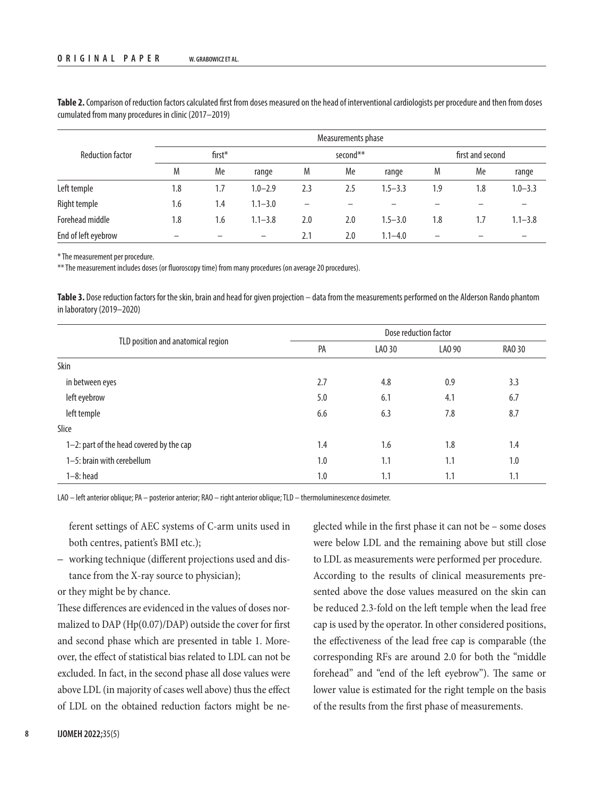|                         | Measurements phase |     |                          |          |     |             |                  |     |             |
|-------------------------|--------------------|-----|--------------------------|----------|-----|-------------|------------------|-----|-------------|
| <b>Reduction factor</b> | $first*$           |     |                          | second** |     |             | first and second |     |             |
|                         | M                  | Me  | range                    | M        | Me  | range       | M                | Me  | range       |
| Left temple             | 1.8                | 1.7 | $1.0 - 2.9$              | 2.3      | 2.5 | $1.5 - 3.3$ | 1.9              | 1.8 | $1.0 - 3.3$ |
| Right temple            | 1.6                | 1.4 | $1.1 - 3.0$              | -        |     |             |                  |     |             |
| Forehead middle         | 1.8                | 1.6 | $1.1 - 3.8$              | 2.0      | 2.0 | $1.5 - 3.0$ | 1.8              | 1.7 | $1.1 - 3.8$ |
| End of left eyebrow     |                    |     | $\overline{\phantom{0}}$ | 2.1      | 2.0 | $1.1 - 4.0$ | -                |     |             |

**Table 2.** Comparison of reduction factors calculated first from doses measured on the head of interventional cardiologists per procedure and then from doses cumulated from many procedures in clinic (2017–2019)

\* The measurement per procedure.

\*\* The measurement includes doses (or fluoroscopy time) from many procedures (on average 20 procedures).

**Table 3.** Dose reduction factors for the skin, brain and head for given projection – data from the measurements performed on the Alderson Rando phantom in laboratory (2019–2020)

|                                          |     | Dose reduction factor |        |        |  |  |  |
|------------------------------------------|-----|-----------------------|--------|--------|--|--|--|
| TLD position and anatomical region       | PA  | LA0 30                | LAO 90 | RA0 30 |  |  |  |
| Skin                                     |     |                       |        |        |  |  |  |
| in between eyes                          | 2.7 | 4.8                   | 0.9    | 3.3    |  |  |  |
| left eyebrow                             | 5.0 | 6.1                   | 4.1    | 6.7    |  |  |  |
| left temple                              | 6.6 | 6.3                   | 7.8    | 8.7    |  |  |  |
| Slice                                    |     |                       |        |        |  |  |  |
| 1-2: part of the head covered by the cap | 1.4 | 1.6                   | 1.8    | 1.4    |  |  |  |
| 1-5: brain with cerebellum               | 1.0 | 1.1                   | 1.1    | 1.0    |  |  |  |
| $1-8:$ head                              | 1.0 | 1.1                   | 1.1    | 1.1    |  |  |  |

LAO – left anterior oblique; PA – posterior anterior; RAO – right anterior oblique; TLD – thermoluminescence dosimeter.

ferent settings of AEC systems of C-arm units used in both centres, patient's BMI etc.);

– working technique (different projections used and distance from the X-ray source to physician);

or they might be by chance.

These differences are evidenced in the values of doses normalized to DAP (Hp(0.07)/DAP) outside the cover for first and second phase which are presented in table 1. Moreover, the effect of statistical bias related to LDL can not be excluded. In fact, in the second phase all dose values were above LDL (in majority of cases well above) thus the effect of LDL on the obtained reduction factors might be neglected while in the first phase it can not be – some doses were below LDL and the remaining above but still close to LDL as measurements were performed per procedure. According to the results of clinical measurements presented above the dose values measured on the skin can be reduced 2.3-fold on the left temple when the lead free cap is used by the operator. In other considered positions, the effectiveness of the lead free cap is comparable (the corresponding RFs are around 2.0 for both the "middle forehead" and "end of the left eyebrow"). The same or lower value is estimated for the right temple on the basis of the results from the first phase of measurements.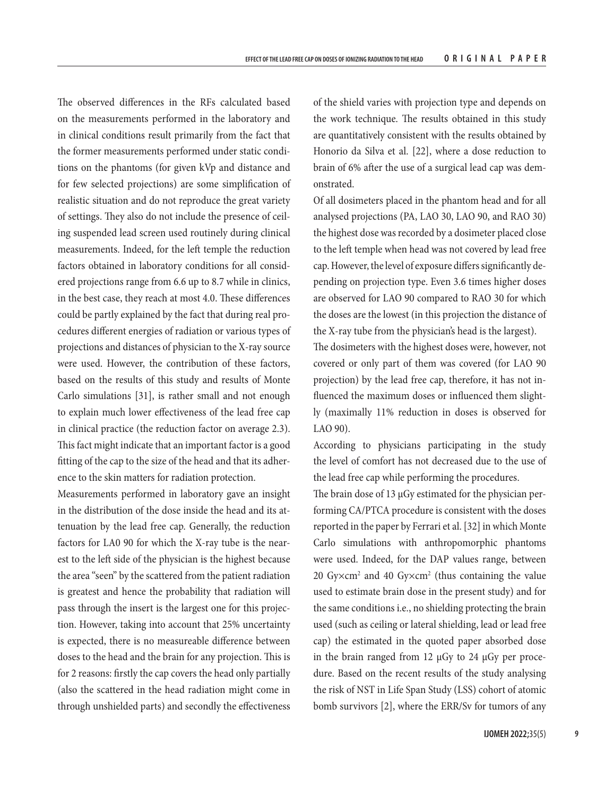The observed differences in the RFs calculated based on the measurements performed in the laboratory and in clinical conditions result primarily from the fact that the former measurements performed under static conditions on the phantoms (for given kVp and distance and for few selected projections) are some simplification of realistic situation and do not reproduce the great variety of settings. They also do not include the presence of ceiling suspended lead screen used routinely during clinical measurements. Indeed, for the left temple the reduction factors obtained in laboratory conditions for all considered projections range from 6.6 up to 8.7 while in clinics, in the best case, they reach at most 4.0. These differences could be partly explained by the fact that during real procedures different energies of radiation or various types of projections and distances of physician to the X-ray source were used. However, the contribution of these factors, based on the results of this study and results of Monte Carlo simulations [31], is rather small and not enough to explain much lower effectiveness of the lead free cap in clinical practice (the reduction factor on average 2.3). This fact might indicate that an important factor is a good fitting of the cap to the size of the head and that its adherence to the skin matters for radiation protection.

Measurements performed in laboratory gave an insight in the distribution of the dose inside the head and its attenuation by the lead free cap. Generally, the reduction factors for LA0 90 for which the X-ray tube is the nearest to the left side of the physician is the highest because the area "seen" by the scattered from the patient radiation is greatest and hence the probability that radiation will pass through the insert is the largest one for this projection. However, taking into account that 25% uncertainty is expected, there is no measureable difference between doses to the head and the brain for any projection. This is for 2 reasons: firstly the cap covers the head only partially (also the scattered in the head radiation might come in through unshielded parts) and secondly the effectiveness of the shield varies with projection type and depends on the work technique. The results obtained in this study are quantitatively consistent with the results obtained by Honorio da Silva et al. [22], where a dose reduction to brain of 6% after the use of a surgical lead cap was demonstrated.

Of all dosimeters placed in the phantom head and for all analysed projections (PA, LAO 30, LAO 90, and RAO 30) the highest dose was recorded by a dosimeter placed close to the left temple when head was not covered by lead free cap. However, the level of exposure differs significantly depending on projection type. Even 3.6 times higher doses are observed for LAO 90 compared to RAO 30 for which the doses are the lowest (in this projection the distance of the X-ray tube from the physician's head is the largest). The dosimeters with the highest doses were, however, not

covered or only part of them was covered (for LAO 90 projection) by the lead free cap, therefore, it has not influenced the maximum doses or influenced them slightly (maximally 11% reduction in doses is observed for LAO 90).

According to physicians participating in the study the level of comfort has not decreased due to the use of the lead free cap while performing the procedures.

The brain dose of 13 µGy estimated for the physician performing CA/PTCA procedure is consistent with the doses reported in the paper by Ferrari et al. [32] in which Monte Carlo simulations with anthropomorphic phantoms were used. Indeed, for the DAP values range, between 20  $Gy \times cm^2$  and 40  $Gy \times cm^2$  (thus containing the value used to estimate brain dose in the present study) and for the same conditions i.e., no shielding protecting the brain used (such as ceiling or lateral shielding, lead or lead free cap) the estimated in the quoted paper absorbed dose in the brain ranged from 12  $\mu$ Gy to 24  $\mu$ Gy per procedure. Based on the recent results of the study analysing the risk of NST in Life Span Study (LSS) cohort of atomic bomb survivors [2], where the ERR/Sv for tumors of any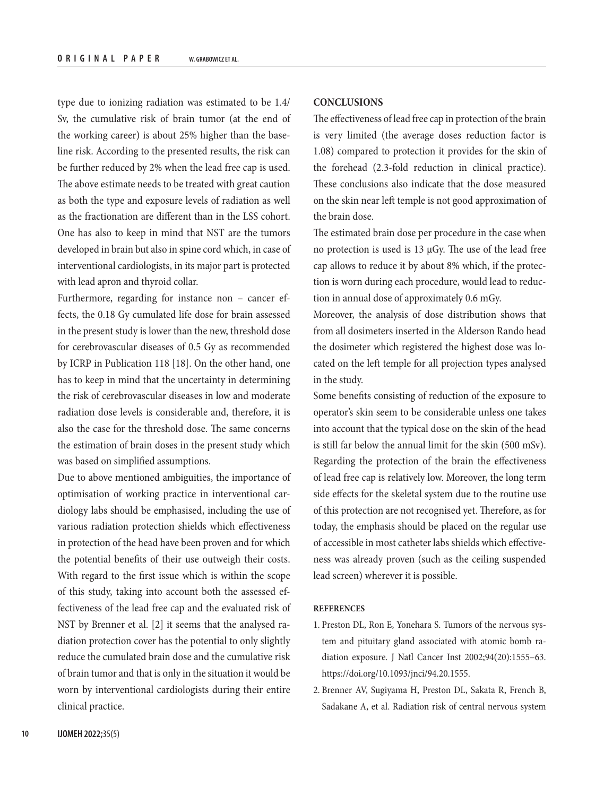type due to ionizing radiation was estimated to be 1.4/ Sv, the cumulative risk of brain tumor (at the end of the working career) is about 25% higher than the baseline risk. According to the presented results, the risk can be further reduced by 2% when the lead free cap is used. The above estimate needs to be treated with great caution as both the type and exposure levels of radiation as well as the fractionation are different than in the LSS cohort. One has also to keep in mind that NST are the tumors developed in brain but also in spine cord which, in case of interventional cardiologists, in its major part is protected with lead apron and thyroid collar.

Furthermore, regarding for instance non – cancer effects, the 0.18 Gy cumulated life dose for brain assessed in the present study is lower than the new, threshold dose for cerebrovascular diseases of 0.5 Gy as recommended by ICRP in Publication 118 [18]. On the other hand, one has to keep in mind that the uncertainty in determining the risk of cerebrovascular diseases in low and moderate radiation dose levels is considerable and, therefore, it is also the case for the threshold dose. The same concerns the estimation of brain doses in the present study which was based on simplified assumptions.

Due to above mentioned ambiguities, the importance of optimisation of working practice in interventional cardiology labs should be emphasised, including the use of various radiation protection shields which effectiveness in protection of the head have been proven and for which the potential benefits of their use outweigh their costs. With regard to the first issue which is within the scope of this study, taking into account both the assessed effectiveness of the lead free cap and the evaluated risk of NST by Brenner et al. [2] it seems that the analysed radiation protection cover has the potential to only slightly reduce the cumulated brain dose and the cumulative risk of brain tumor and that is only in the situation it would be worn by interventional cardiologists during their entire clinical practice.

# **CONCLUSIONS**

The effectiveness of lead free cap in protection of the brain is very limited (the average doses reduction factor is 1.08) compared to protection it provides for the skin of the forehead (2.3-fold reduction in clinical practice). These conclusions also indicate that the dose measured on the skin near left temple is not good approximation of the brain dose.

The estimated brain dose per procedure in the case when no protection is used is 13 µGy. The use of the lead free cap allows to reduce it by about 8% which, if the protection is worn during each procedure, would lead to reduction in annual dose of approximately 0.6 mGy.

Moreover, the analysis of dose distribution shows that from all dosimeters inserted in the Alderson Rando head the dosimeter which registered the highest dose was located on the left temple for all projection types analysed in the study.

Some benefits consisting of reduction of the exposure to operator's skin seem to be considerable unless one takes into account that the typical dose on the skin of the head is still far below the annual limit for the skin (500 mSv). Regarding the protection of the brain the effectiveness of lead free cap is relatively low. Moreover, the long term side effects for the skeletal system due to the routine use of this protection are not recognised yet. Therefore, as for today, the emphasis should be placed on the regular use of accessible in most catheter labs shields which effectiveness was already proven (such as the ceiling suspended lead screen) wherever it is possible.

## **REFERENCES**

- 1. Preston DL, Ron E, Yonehara S. Tumors of the nervous system and pituitary gland associated with atomic bomb radiation exposure. J Natl Cancer Inst 2002;94(20):1555–63. [https://doi.org/10.1093/jnci/94.20.1555.](https://doi.org/10.1093/jnci/94.20.1555)
- 2. Brenner AV, Sugiyama H, Preston DL, Sakata R, French B, Sadakane A, et al. Radiation risk of central nervous system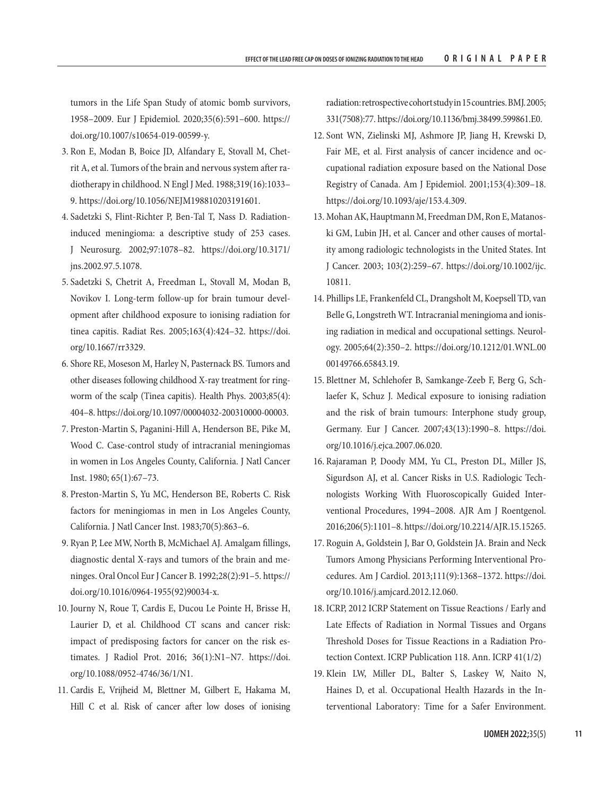tumors in the Life Span Study of atomic bomb survivors, 1958–2009. Eur J Epidemiol. 2020;35(6):591–600. [https://](https://doi.org/10.1007/s10654-019-00599-y) [doi.org/10.1007/s10654-019-00599-y.](https://doi.org/10.1007/s10654-019-00599-y)

- 3. Ron E, Modan B, Boice JD, Alfandary E, Stovall M, Chetrit A, et al. Tumors of the brain and nervous system after radiotherapy in childhood. N Engl J Med. 1988;319(16):1033– 9. [https://doi.org/10.1056/NEJM198810203191601.](https://doi.org/10.1056/NEJM198810203191601)
- 4. Sadetzki S, Flint-Richter P, Ben-Tal T, Nass D. Radiationinduced meningioma: a descriptive study of 253 cases. J Neurosurg. 2002;97:1078–82. [https://doi.org/10.3171/](https://doi.org/10.3171/jns.2002.97.5.1078) [jns.2002.97.5.1078.](https://doi.org/10.3171/jns.2002.97.5.1078)
- 5. Sadetzki S, Chetrit A, Freedman L, Stovall M, Modan B, Novikov I. Long-term follow-up for brain tumour development after childhood exposure to ionising radiation for tinea capitis. Radiat Res. 2005;163(4):424–32. [https://doi.](https://doi.org/10.1667/rr3329) [org/10.1667/rr3329](https://doi.org/10.1667/rr3329).
- 6. Shore RE, Moseson M, Harley N, Pasternack BS. Tumors and other diseases following childhood X-ray treatment for ringworm of the scalp (Tinea capitis). Health Phys. 2003;85(4): 404–8. [https://doi.org/10.1097/00004032-200310000-00003.](https://doi.org/10.1097/00004032-200310000-00003)
- 7. Preston-Martin S, Paganini-Hill A, Henderson BE, Pike M, Wood C. Case-control study of intracranial meningiomas in women in Los Angeles County, California. J Natl Cancer Inst. 1980; 65(1):67–73.
- 8. Preston-Martin S, Yu MC, Henderson BE, Roberts C. Risk factors for meningiomas in men in Los Angeles County, California. J Natl Cancer Inst. 1983;70(5):863–6.
- 9. Ryan P, Lee MW, North B, McMichael AJ. Amalgam fillings, diagnostic dental X-rays and tumors of the brain and meninges. Oral Oncol Eur J Cancer B. 1992;28(2):91–5. [https://](https://doi.org/10.1016/0964-1955(92)90034-x) [doi.org/10.1016/0964-1955\(92\)90034-x](https://doi.org/10.1016/0964-1955(92)90034-x).
- 10. Journy N, Roue T, Cardis E, Ducou Le Pointe H, Brisse H, Laurier D, et al. Childhood CT scans and cancer risk: impact of predisposing factors for cancer on the risk estimates. J Radiol Prot. 2016; 36(1):N1–N7. [https://doi.](https://doi.org/10.1088/0952-4746/36/1/N1) [org/10.1088/0952-4746/36/1/N1](https://doi.org/10.1088/0952-4746/36/1/N1).
- 11. Cardis E, Vrijheid M, Blettner M, Gilbert E, Hakama M, Hill C et al. Risk of cancer after low doses of ionising

radiation: retrospective cohort study in 15 countries. BMJ. 2005; 331(7508):77. [https://doi.org/10.1136/bmj.38499.599861.E0.](https://doi.org/10.1136/bmj.38499.599861.E0)

- 12. Sont WN, Zielinski MJ, Ashmore JP, Jiang H, Krewski D, Fair ME, et al. First analysis of cancer incidence and occupational radiation exposure based on the National Dose Registry of Canada. Am J Epidemiol. 2001;153(4):309–18. <https://doi.org/10.1093/aje/153.4.309>.
- 13. Mohan AK, Hauptmann M, Freedman DM, Ron E, Matanoski GM, Lubin JH, et al. Cancer and other causes of mortality among radiologic technologists in the United States. Int J Cancer. 2003; 103(2):259–67. [https://doi.org/10.1002/ijc.](https://doi.org/10.1002/ijc.10811) [10811.](https://doi.org/10.1002/ijc.10811)
- 14. Phillips LE, Frankenfeld CL, Drangsholt M, Koepsell TD, van Belle G, Longstreth WT. Intracranial meningioma and ionising radiation in medical and occupational settings. Neurology. 2005;64(2):350–2. [https://doi.org/10.1212/01.WNL.00](https://doi.org/10.1212/01.WNL.0000149766.65843.19) [00149766.65843.19.](https://doi.org/10.1212/01.WNL.0000149766.65843.19)
- 15. Blettner M, Schlehofer B, Samkange-Zeeb F, Berg G, Schlaefer K, Schuz J. Medical exposure to ionising radiation and the risk of brain tumours: Interphone study group, Germany. Eur J Cancer. 2007;43(13):1990–8. [https://doi.](https://doi.org/10.1016/j.ejca.2007.06.020) [org/10.1016/j.ejca.2007.06.020](https://doi.org/10.1016/j.ejca.2007.06.020).
- 16. Rajaraman P, Doody MM, Yu CL, Preston DL, Miller JS, Sigurdson AJ, et al. Cancer Risks in U.S. Radiologic Technologists Working With Fluoroscopically Guided Interventional Procedures, 1994–2008. AJR Am J Roentgenol. 2016;206(5):1101–8.<https://doi.org/10.2214/AJR.15.15265>.
- 17. Roguin A, Goldstein J, Bar O, Goldstein JA. Brain and Neck Tumors Among Physicians Performing Interventional Procedures. Am J Cardiol. 2013;111(9):1368–1372. [https://doi.](https://doi.org/10.1016/j.amjcard.2012.12.060) [org/10.1016/j.amjcard.2012.12.060.](https://doi.org/10.1016/j.amjcard.2012.12.060)
- 18. ICRP, 2012 ICRP Statement on Tissue Reactions / Early and Late Effects of Radiation in Normal Tissues and Organs Threshold Doses for Tissue Reactions in a Radiation Protection Context. ICRP Publication 118. Ann. ICRP 41(1/2)
- 19. Klein LW, Miller DL, Balter S, Laskey W, Naito N, Haines D, et al. Occupational Health Hazards in the Interventional Laboratory: Time for a Safer Environment.